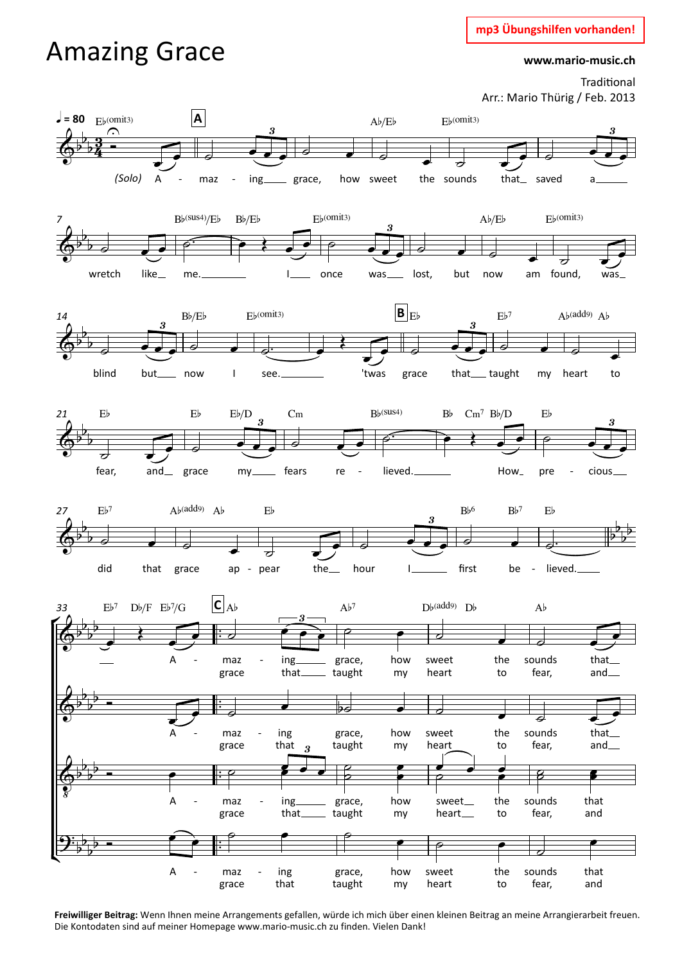## **mp3 Übungshilfen vorhanden!**

## Amazing Grace

**www.mario-music.ch**

Traditional Arr.: Mario Thürig / Feb. 2013



**Freiwilliger Beitrag:** Wenn Ihnen meine Arrangements gefallen, würde ich mich über einen kleinen Beitrag an meine Arrangierarbeit freuen. Die Kontodaten sind auf meiner Homepage www.mario-music.ch zu finden. Vielen Dank!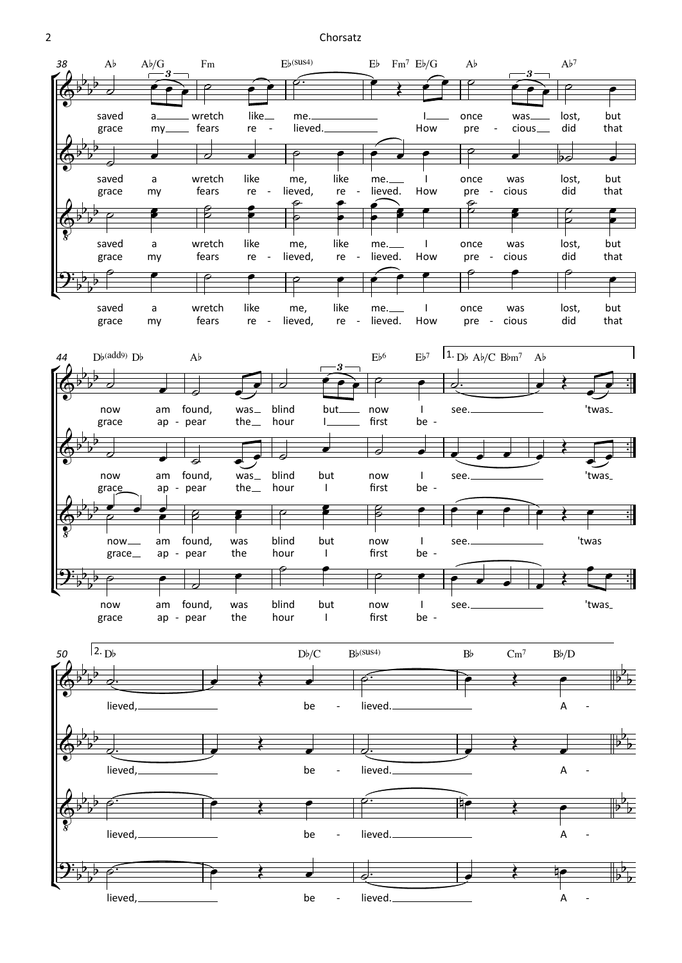2 Chorsatz

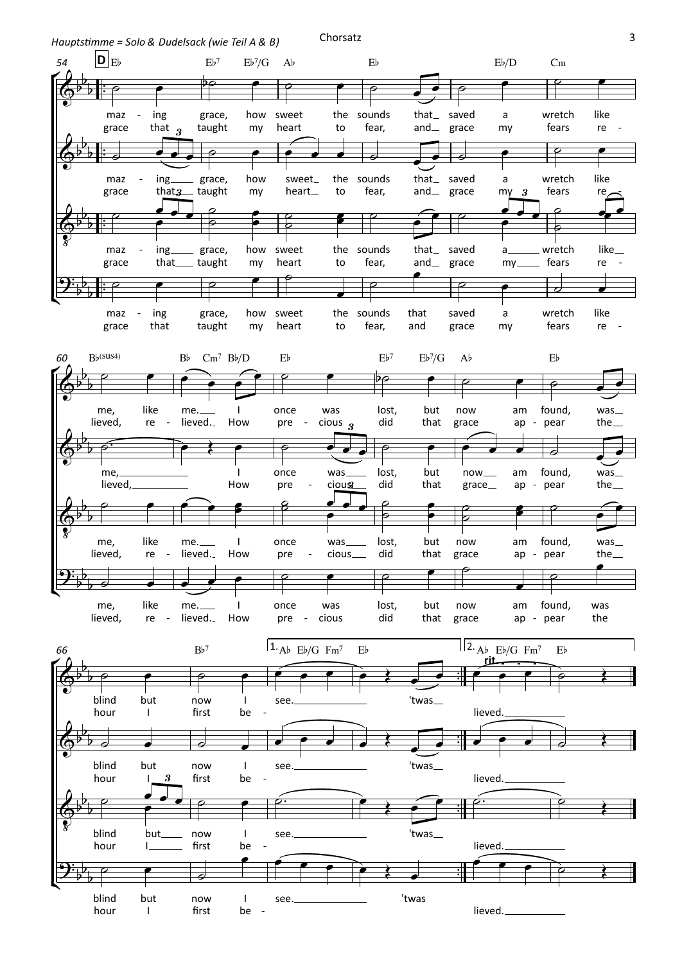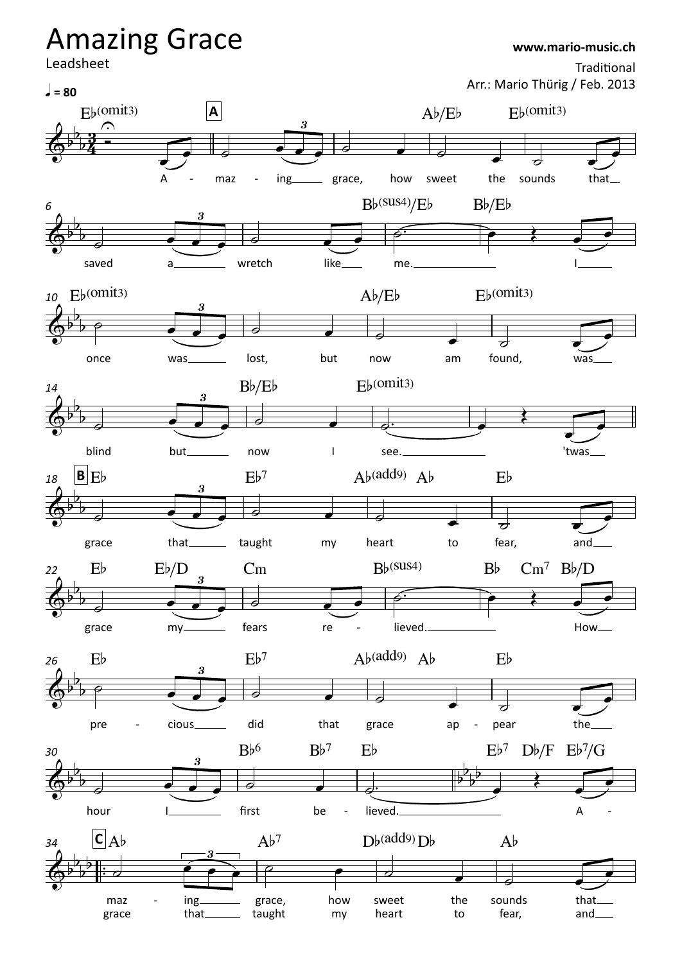## Leadsheet  $E_b$ (omit<sub>3</sub>) A - maz - ing grace, how sweet  $Ab/Eb$ the sounds  $E_b$ (omit<sub>3</sub>) that  $\frac{1}{2} = 80$ **A** saved a wretch like me.  $Bb$ <sup>(Sus4)</sup>/E<sub>b</sub> B $b$ /E<sub>b</sub>  $\Box$ *6* once  $_{10}$   $E_b$  (omit<sub>3</sub>) was\_\_\_\_\_\_\_\_ lost, but now  $Ab/Eb$ am found,  $F_b$ (omit<sub>3</sub>) was blind but\_\_\_\_\_\_\_\_ now  $Bb/Eb$ I see.  $E_b$ (omit<sub>3</sub>) 'twas *14* grace 18  $\mathbf{B} \mathbf{E}$ that\_\_\_\_\_\_\_\_ taught  $Eb<sup>7</sup>$ my heart  $Ab$ (add9)  $Ab$ to fear,  $E<sub>b</sub>$ and grace  $E<sub>b</sub>$ my  $Eb/D$ fears  $Cm$ re - lieved.  $22$  Eb Eb/D Cm Bb<sup>(SUS4)</sup> Bb Cm<sup>7</sup> Bb/D How pre  $E<sub>b</sub>$ cious did  $Eb<sup>7</sup>$ that grace  $Ab$ (add9)  $Ab$ ap - pear the\_\_\_\_  $E<sub>b</sub>$ *26* hour I\_\_\_\_\_\_\_\_\_ first  $Bb<sup>6</sup>$ be - $Bb<sup>7</sup>$ - lieved.<u>\_</u>\_  $E<sub>b</sub>$  $E\flat^7$  D $\nu$ /F  $E\nu^7/G$ A - *30*  $\frac{1}{\sqrt{2}}$ ™maz grace 34  $\mathbf{C}$   $\mathbf{A}$  $\mathbf{b}$ ing that grace, taught  $Ab<sup>7</sup>$ how sweet my heart  $D^b$ (add<sup>9</sup>) $D^b$ the to sounds fear,  $Ab$ that and  $\left(0, 3, 3, 4\right)$  $\frac{b}{b}$   $\frac{3}{4}$  $\flat$  3  $\stackrel{\frown}{=}$  $\frac{3}{4}$  – U <sup>3</sup> Amazing Grace Traditional Arr.: Mario Thürig / Feb. 2013 **www.mario-music.ch**  $\phi$ <sup>b</sup>  $\frac{1}{2}$  $\frac{1}{\sqrt{1-\frac{1}{2}}}$ 3  $\phi$  $\frac{1}{2}$  $\overline{\partial}$ 3  $\phi$  $b_{\perp}$  $\overline{\phantom{0}}$ 3  $\phi$  $b_{\perp}$  $\frac{1}{2}$ 3  $\phi$  $b_{\perp}$  $\frac{1}{\sqrt{1-\frac{1}{2}}\left(1-\frac{1}{2}\right)}$ 3  $\phi$  $\frac{1}{2}$  $\overline{\partial}$ 3  $\phi$  $\overline{b}$ b b b b b b b b b b b  $\frac{p}{p}$  $b_1b_+$  $b^b$  $\overline{\phantom{0}}$ 3  $\phi$  $\flat$   $\flat$   $\vdash$  $b^b$  : d b  $\begin{array}{c} \hline 3 \ \hline 3 \ \hline \end{array}$  $\overline{\mathcal{O}}$  $\bullet$   $\overline{\bullet}$   $\overline{\bullet}$ <sup>œ</sup> <sup>œ</sup> <sup>œ</sup> ˙ <sup>œ</sup> ˙ <sup>œ</sup> ˙ <sup>œ</sup>  $\frac{1}{2}$  $\overline{\phantom{a}}$  $\overrightarrow{e}$   $\overrightarrow{e}$   $\overrightarrow{e}$   $\overrightarrow{e}$   $\overrightarrow{e}$   $\overrightarrow{e}$   $\overrightarrow{e}$  $\frac{1}{2}$ ˙ <sup>œ</sup> <sup>œ</sup> <sup>œ</sup> ˙ <sup>œ</sup> ˙ <sup>œ</sup> ˙ <sup>œ</sup>  $\overline{\phantom{a}}$  $\overline{\phantom{a}}$ œ œ œ ˙ œ ˙™ œ  $\frac{1}{2}$  $\overline{\phantom{a}}$  $\overline{\phantom{a}}$  $\overline{\phantom{a}}$ <sup>œ</sup> <sup>œ</sup> <sup>œ</sup> ˙ <sup>œ</sup> ˙ <sup>œ</sup> ˙ <sup>œ</sup>  $\frac{1}{2}$  $\overline{\phantom{a}}$  $\overrightarrow{e}$   $\overrightarrow{e}$   $\overrightarrow{e}$   $\overrightarrow{e}$   $\overrightarrow{e}$   $\overrightarrow{e}$  $\overrightarrow{e}$ ˙ <sup>œ</sup> <sup>œ</sup> <sup>œ</sup> ˙ <sup>œ</sup> ˙ <sup>œ</sup> ˙ <sup>œ</sup>  $\frac{1}{2}$  $\overline{\phantom{a}}$ œ œ œ ˙ œ ˙™ œ <sup>Œ</sup> <sup>œ</sup>  $\frac{1}{2}$  $\overline{\phantom{a}}$ <sup>œ</sup> <sup>œ</sup> <sup>œ</sup> ˙ <sup>œ</sup> ˙ <sup>œ</sup> ˙ <sup>œ</sup> œ